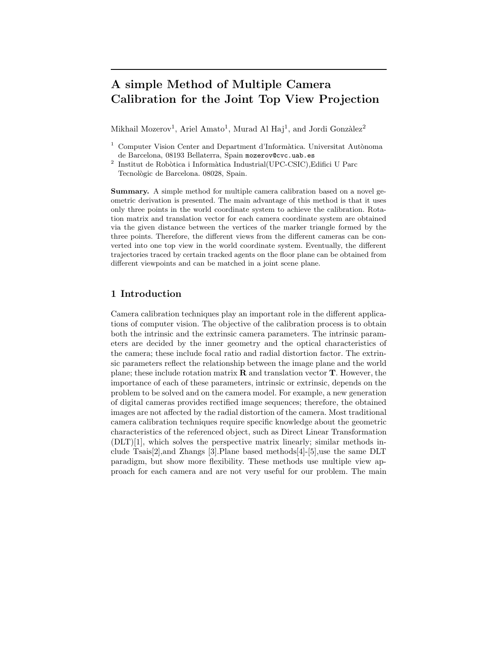# **A simple Method of Multiple Camera Calibration for the Joint Top View Projection**

Mikhail Mozerov<sup>1</sup>, Ariel Amato<sup>1</sup>, Murad Al Haj<sup>1</sup>, and Jordi Gonzàlez<sup>2</sup>

- Computer Vision Center and Department d'Informàtica. Universitat Autònoma de Barcelona, 08193 Bellaterra, Spain mozerov@cvc.uab.es
- $^{\rm 2}$ Institut de Robòtica i Informàtica Industrial(UPC-CSIC),Edifici U Parc Tecnològic de Barcelona. 08028, Spain.

**Summary.** A simple method for multiple camera calibration based on a novel geometric derivation is presented. The main advantage of this method is that it uses only three points in the world coordinate system to achieve the calibration. Rotation matrix and translation vector for each camera coordinate system are obtained via the given distance between the vertices of the marker triangle formed by the three points. Therefore, the different views from the different cameras can be converted into one top view in the world coordinate system. Eventually, the different trajectories traced by certain tracked agents on the floor plane can be obtained from different viewpoints and can be matched in a joint scene plane.

### **1 Introduction**

Camera calibration techniques play an important role in the different applications of computer vision. The objective of the calibration process is to obtain both the intrinsic and the extrinsic camera parameters. The intrinsic parameters are decided by the inner geometry and the optical characteristics of the camera; these include focal ratio and radial distortion factor. The extrinsic parameters reflect the relationship between the image plane and the world plane; these include rotation matrix **R** and translation vector **T**. However, the importance of each of these parameters, intrinsic or extrinsic, depends on the problem to be solved and on the camera model. For example, a new generation of digital cameras provides rectified image sequences; therefore, the obtained images are not affected by the radial distortion of the camera. Most traditional camera calibration techniques require specific knowledge about the geometric characteristics of the referenced object, such as Direct Linear Transformation (DLT)[1], which solves the perspective matrix linearly; similar methods include Tsais[2],and Zhangs [3].Plane based methods[4]-[5],use the same DLT paradigm, but show more flexibility. These methods use multiple view approach for each camera and are not very useful for our problem. The main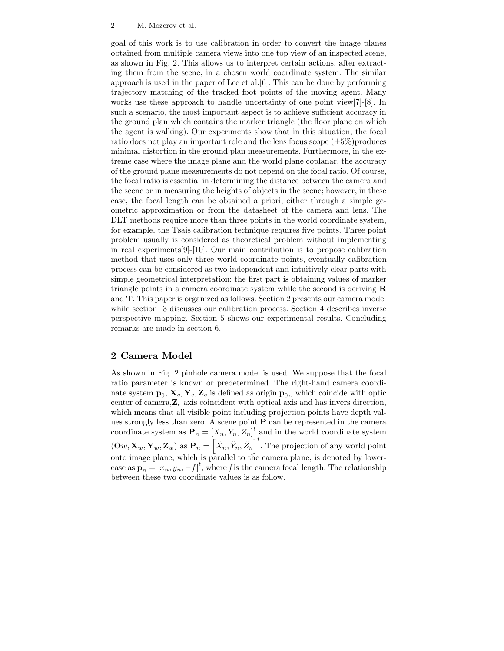#### 2 M. Mozerov et al.

goal of this work is to use calibration in order to convert the image planes obtained from multiple camera views into one top view of an inspected scene, as shown in Fig. 2. This allows us to interpret certain actions, after extracting them from the scene, in a chosen world coordinate system. The similar approach is used in the paper of Lee et al.[6]. This can be done by performing trajectory matching of the tracked foot points of the moving agent. Many works use these approach to handle uncertainty of one point view[7]-[8]. In such a scenario, the most important aspect is to achieve sufficient accuracy in the ground plan which contains the marker triangle (the floor plane on which the agent is walking). Our experiments show that in this situation, the focal ratio does not play an important role and the lens focus scope  $(\pm 5\%)$ produces minimal distortion in the ground plan measurements. Furthermore, in the extreme case where the image plane and the world plane coplanar, the accuracy of the ground plane measurements do not depend on the focal ratio. Of course, the focal ratio is essential in determining the distance between the camera and the scene or in measuring the heights of objects in the scene; however, in these case, the focal length can be obtained a priori, either through a simple geometric approximation or from the datasheet of the camera and lens. The DLT methods require more than three points in the world coordinate system, for example, the Tsais calibration technique requires five points. Three point problem usually is considered as theoretical problem without implementing in real experiments[9]-[10]. Our main contribution is to propose calibration method that uses only three world coordinate points, eventually calibration process can be considered as two independent and intuitively clear parts with simple geometrical interpretation; the first part is obtaining values of marker triangle points in a camera coordinate system while the second is deriving **R** and **T**. This paper is organized as follows. Section 2 presents our camera model while section 3 discusses our calibration process. Section 4 describes inverse perspective mapping. Section 5 shows our experimental results. Concluding remarks are made in section 6.

### **2 Camera Model**

As shown in Fig. 2 pinhole camera model is used. We suppose that the focal ratio parameter is known or predetermined. The right-hand camera coordinate system  $\mathbf{p}_0$ ,  $\mathbf{X}_c$ ,  $\mathbf{Y}_c$ ,  $\mathbf{Z}_c$  is defined as origin  $\mathbf{p}_0$ ,, which coincide with optic center of camera,**Z***<sup>c</sup>* axis coincident with optical axis and has invers direction, which means that all visible point including projection points have depth values strongly less than zero. A scene point **P** can be represented in the camera coordinate system as  $\mathbf{P}_n = [X_n, Y_n, Z_n]^t$  and in the world coordinate system  $(\mathbf{O}w, \mathbf{X}_w, \mathbf{Y}_w, \mathbf{Z}_w)$  as  $\hat{\mathbf{P}}_n = \left[\hat{X}_n, \hat{Y}_n, \hat{Z}_n\right]^t$ . The projection of any world point onto image plane, which is parallel to the camera plane, is denoted by lowercase as  $\mathbf{p}_n = [x_n, y_n, -f]^t$ , where *f* is the camera focal length. The relationship between these two coordinate values is as follow.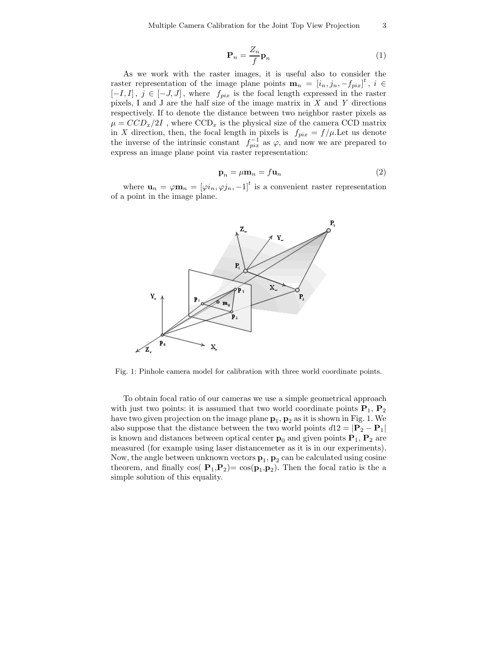$$
\mathbf{P}_n = \frac{Z_n}{f} \mathbf{p}_n \tag{1}
$$

As we work with the raster images, it is useful also to consider the raster representation of the image plane points  $\mathbf{m}_n = [i_n, j_n, -f_{pix}]^t$ ,  $i \in$  $[-I, I], j \in [-J, J],$  where  $f_{pix}$  is the focal length expressed in the raster pixels, I and J are the half size of the image matrix in *X* and *Y* directions respectively. If to denote the distance between two neighbor raster pixels as  $\mu = CCD_x/2I$ , where  $CCD_x$  is the physical size of the camera CCD matrix in *X* direction, then, the focal length in pixels is  $f_{pix} = f/\mu$ . Let us denote the inverse of the intrinsic constant  $f_{pix}^{-1}$  as  $\varphi$ , and now we are prepared to express an image plane point via raster representation:

$$
\mathbf{p}_n = \mu \mathbf{m}_n = f \mathbf{u}_n \tag{2}
$$

where  $\mathbf{u}_n = \varphi \mathbf{m}_n = [\varphi i_n, \varphi j_n, -1]^t$  is a convenient raster representation of a point in the image plane.



Fig. 1: Pinhole camera model for calibration with three world coordinate points.

To obtain focal ratio of our cameras we use a simple geometrical approach with just two points: it is assumed that two world coordinate points  $P_1$ ,  $P_2$ have two given projection on the image plane **p**1, **p**<sup>2</sup> as it is shown in Fig. 1. We also suppose that the distance between the two world points  $d12 = |{\bf P}_2 - {\bf P}_1|$ is known and distances between optical center  $\mathbf{p}_0$  and given points  $\mathbf{P}_1$ ,  $\mathbf{P}_2$  are measured (for example using laser distancemeter as it is in our experiments). Now, the angle between unknown vectors  $\mathbf{p}_1$ ,  $\mathbf{p}_2$  can be calculated using cosine theorem, and finally cos(  $P_1$ ,  $P_2$ ) = cos( $p_1$ ,  $p_2$ ). Then the focal ratio is the a simple solution of this equality.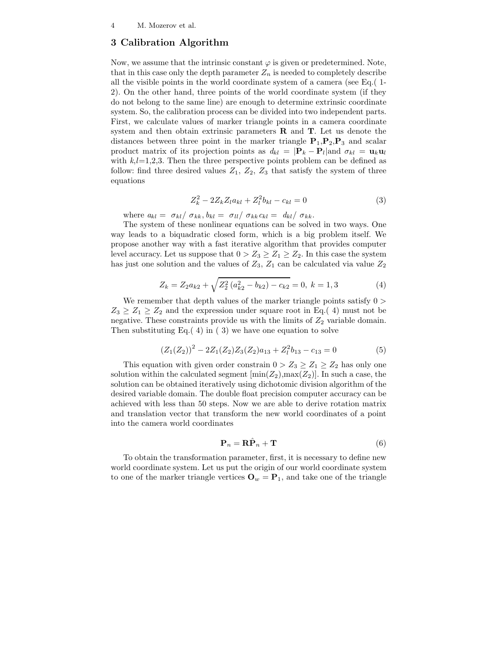#### **3 Calibration Algorithm**

Now, we assume that the intrinsic constant  $\varphi$  is given or predetermined. Note, that in this case only the depth parameter  $Z_n$  is needed to completely describe all the visible points in the world coordinate system of a camera (see Eq.( 1- 2). On the other hand, three points of the world coordinate system (if they do not belong to the same line) are enough to determine extrinsic coordinate system. So, the calibration process can be divided into two independent parts. First, we calculate values of marker triangle points in a camera coordinate system and then obtain extrinsic parameters **R** and **T**. Let us denote the distances between three point in the marker triangle  $P_1$ ,  $P_2$ ,  $P_3$  and scalar product matrix of its projection points as  $d_{kl} = |\mathbf{P}_k - \mathbf{P}_l|$  and  $\sigma_{kl} = \mathbf{u}_k \mathbf{u}_l$ with  $k,l=1,2,3$ . Then the three perspective points problem can be defined as follow: find three desired values  $Z_1$ ,  $Z_2$ ,  $Z_3$  that satisfy the system of three equations

$$
Z_k^2 - 2Z_k Z_l a_{kl} + Z_l^2 b_{kl} - c_{kl} = 0
$$
\n(3)

where  $a_{kl} = \sigma_{kl} / \sigma_{kk}$ ,  $b_{kl} = \sigma_{ll} / \sigma_{kk} c_{kl} = d_{kl} / \sigma_{kk}$ .

The system of these nonlinear equations can be solved in two ways. One way leads to a biquadratic closed form, which is a big problem itself. We propose another way with a fast iterative algorithm that provides computer level accuracy. Let us suppose that  $0 > Z_3 \geq Z_1 \geq Z_2$ . In this case the system has just one solution and the values of  $Z_3$ ,  $Z_1$  can be calculated via value  $Z_2$ 

$$
Z_k = Z_2 a_{k2} + \sqrt{Z_2^2 (a_{k2}^2 - b_{k2}) - c_{k2}} = 0, \ k = 1, 3
$$
 (4)

We remember that depth values of the marker triangle points satisfy  $0 \geq$  $Z_3 \geq Z_1 \geq Z_2$  and the expression under square root in Eq.(4) must not be negative. These constraints provide us with the limits of  $Z_2$  variable domain. Then substituting Eq.  $(4)$  in  $(3)$  we have one equation to solve

$$
(Z_1(Z_2))^2 - 2Z_1(Z_2)Z_3(Z_2)a_{13} + Z_l^2b_{13} - c_{13} = 0
$$
\n(5)

This equation with given order constrain  $0 > Z_3 \geq Z_1 \geq Z_2$  has only one solution within the calculated segment  $[\min(Z_2), \max(Z_2)]$ . In such a case, the solution can be obtained iteratively using dichotomic division algorithm of the desired variable domain. The double float precision computer accuracy can be achieved with less than 50 steps. Now we are able to derive rotation matrix and translation vector that transform the new world coordinates of a point into the camera world coordinates

$$
\mathbf{P}_n = \mathbf{R}\hat{\mathbf{P}}_n + \mathbf{T} \tag{6}
$$

To obtain the transformation parameter, first, it is necessary to define new world coordinate system. Let us put the origin of our world coordinate system to one of the marker triangle vertices  $\mathbf{O}_w = \mathbf{P}_1$ , and take one of the triangle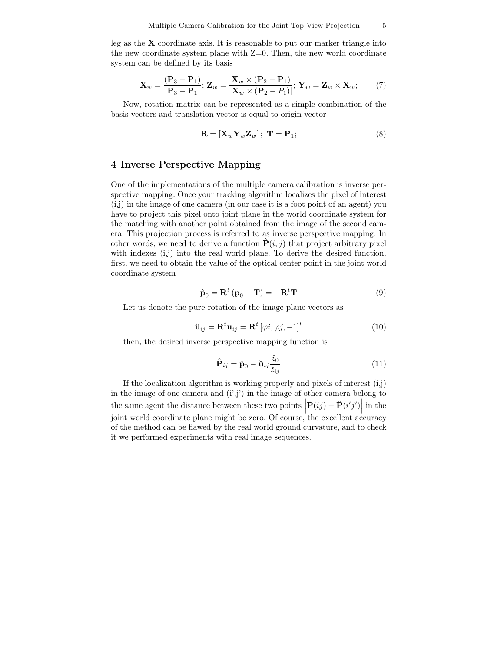$$
\mathbf{X}_{w} = \frac{(\mathbf{P}_{3} - \mathbf{P}_{1})}{|\mathbf{P}_{3} - \mathbf{P}_{1}|}; \mathbf{Z}_{w} = \frac{\mathbf{X}_{w} \times (\mathbf{P}_{2} - \mathbf{P}_{1})}{|\mathbf{X}_{w} \times (\mathbf{P}_{2} - P_{1})|}; \mathbf{Y}_{w} = \mathbf{Z}_{w} \times \mathbf{X}_{w};
$$
 (7)

Now, rotation matrix can be represented as a simple combination of the basis vectors and translation vector is equal to origin vector

$$
\mathbf{R} = \left[ \mathbf{X}_w \mathbf{Y}_w \mathbf{Z}_w \right]; \ \mathbf{T} = \mathbf{P}_1; \tag{8}
$$

### **4 Inverse Perspective Mapping**

One of the implementations of the multiple camera calibration is inverse perspective mapping. Once your tracking algorithm localizes the pixel of interest (i,j) in the image of one camera (in our case it is a foot point of an agent) you have to project this pixel onto joint plane in the world coordinate system for the matching with another point obtained from the image of the second camera. This projection process is referred to as inverse perspective mapping. In other words, we need to derive a function  $\hat{\mathbf{P}}(i, j)$  that project arbitrary pixel with indexes (i,j) into the real world plane. To derive the desired function, first, we need to obtain the value of the optical center point in the joint world coordinate system

$$
\hat{\mathbf{p}}_0 = \mathbf{R}^t \left( \mathbf{p}_0 - \mathbf{T} \right) = -\mathbf{R}^t \mathbf{T} \tag{9}
$$

Let us denote the pure rotation of the image plane vectors as

$$
\breve{\mathbf{u}}_{ij} = \mathbf{R}^t \mathbf{u}_{ij} = \mathbf{R}^t \left[ \varphi i, \varphi j, -1 \right]^t \tag{10}
$$

then, the desired inverse perspective mapping function is

$$
\hat{\mathbf{P}}_{ij} = \hat{\mathbf{p}}_0 - \breve{\mathbf{u}}_{ij} \frac{\hat{z}_0}{\breve{z}_{ij}} \tag{11}
$$

If the localization algorithm is working properly and pixels of interest (i,j) in the image of one camera and  $(i',j')$  in the image of other camera belong to the same agent the distance between these two points  $\left| \hat{\mathbf{P}}(ij) - \hat{\mathbf{P}}(i'j') \right|$  in the joint world coordinate plane might be zero. Of course, the excellent accuracy of the method can be flawed by the real world ground curvature, and to check it we performed experiments with real image sequences.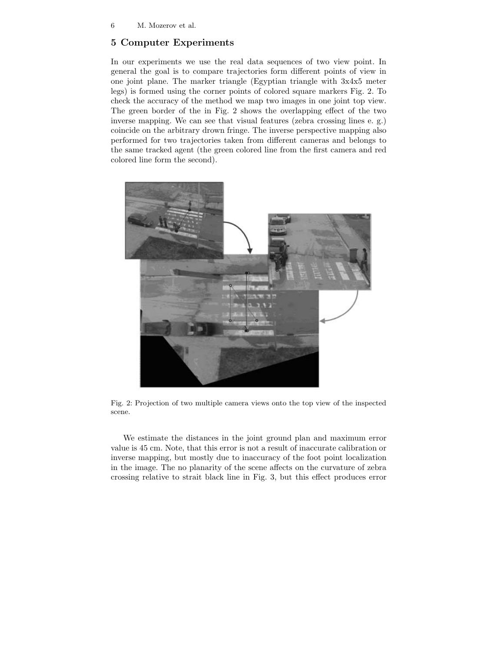6 M. Mozerov et al.

#### **5 Computer Experiments**

In our experiments we use the real data sequences of two view point. In general the goal is to compare trajectories form different points of view in one joint plane. The marker triangle (Egyptian triangle with 3x4x5 meter legs) is formed using the corner points of colored square markers Fig. 2. To check the accuracy of the method we map two images in one joint top view. The green border of the in Fig. 2 shows the overlapping effect of the two inverse mapping. We can see that visual features (zebra crossing lines e. g.) coincide on the arbitrary drown fringe. The inverse perspective mapping also performed for two trajectories taken from different cameras and belongs to the same tracked agent (the green colored line from the first camera and red colored line form the second).



Fig. 2: Projection of two multiple camera views onto the top view of the inspected scene.

We estimate the distances in the joint ground plan and maximum error value is 45 cm. Note, that this error is not a result of inaccurate calibration or inverse mapping, but mostly due to inaccuracy of the foot point localization in the image. The no planarity of the scene affects on the curvature of zebra crossing relative to strait black line in Fig. 3, but this effect produces error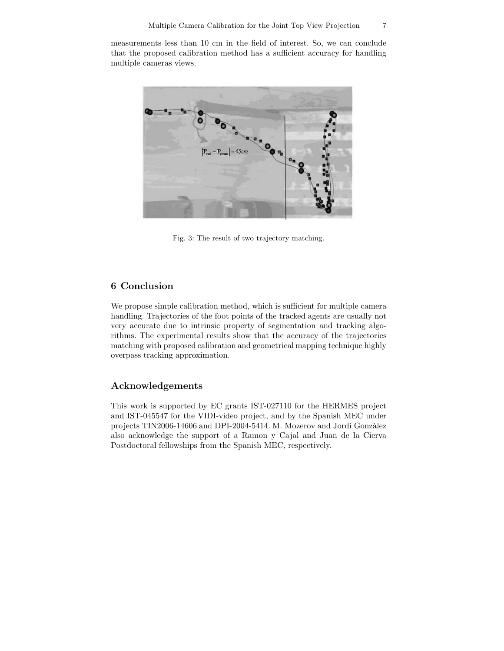measurements less than 10 cm in the field of interest. So, we can conclude that the proposed calibration method has a sufficient accuracy for handling multiple cameras views.



Fig. 3: The result of two trajectory matching.

## **6 Conclusion**

We propose simple calibration method, which is sufficient for multiple camera handling. Trajectories of the foot points of the tracked agents are usually not very accurate due to intrinsic property of segmentation and tracking algorithms. The experimental results show that the accuracy of the trajectories matching with proposed calibration and geometrical mapping technique highly overpass tracking approximation.

#### **Acknowledgements**

This work is supported by EC grants IST-027110 for the HERMES project and IST-045547 for the VIDI-video project, and by the Spanish MEC under projects TIN2006-14606 and DPI-2004-5414. M. Mozerov and Jordi Gonzàlez also acknowledge the support of a Ramon y Cajal and Juan de la Cierva Postdoctoral fellowships from the Spanish MEC, respectively.